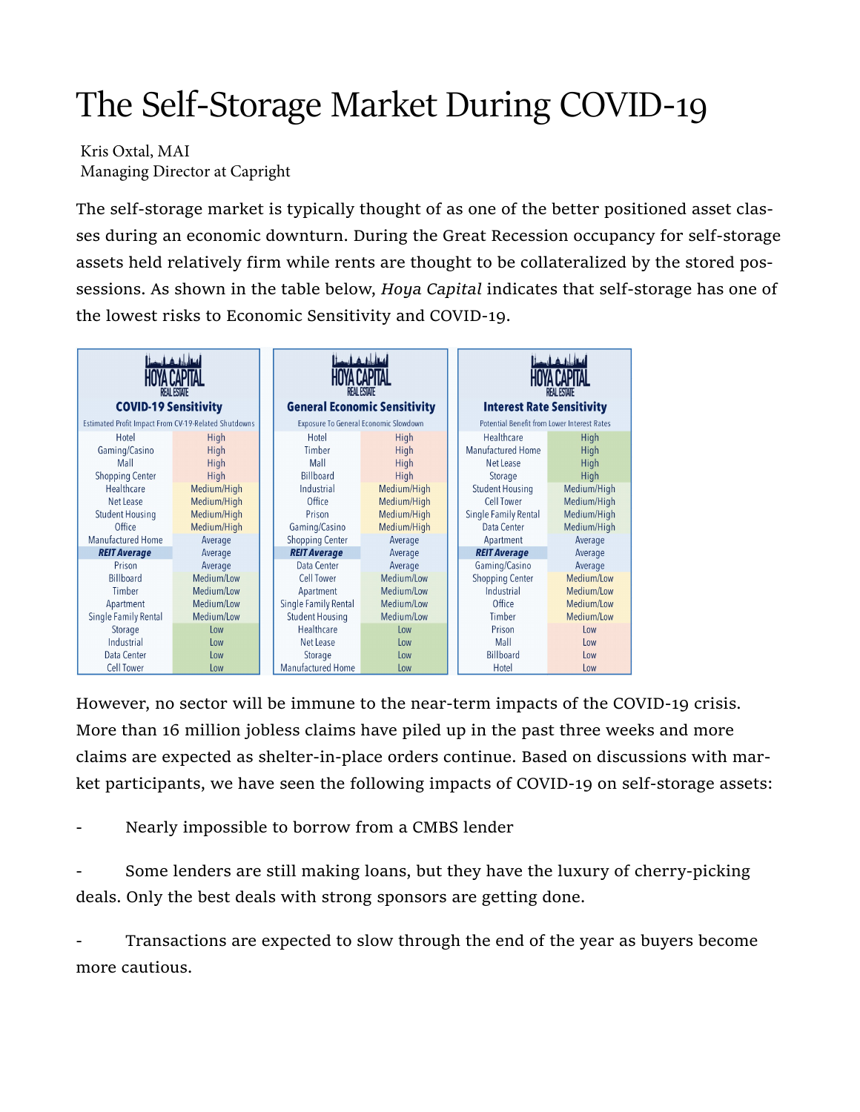## The Self-Storage Market During COVID-19

Kris Oxtal, MAI Managing Director at Capright

The self-storage market is typically thought of as one of the better positioned asset classes during an economic downturn. During the Great Recession occupancy for self-storage assets held relatively firm while rents are thought to be collateralized by the stored possessions. As shown in the table below, Hoya Capital indicates that self-storage has one of the lowest risks to Economic Sensitivity and COVID-19.

| <b>RFAL ESTATE</b><br><b>COVID-19 Sensitivity</b>                                                          |                                                                                    |  | رہ کا سماا<br><b>REAL ESTATE</b><br><b>General Economic Sensitivity</b>                                             |                                                                                           |  | <b>REAL ESTATE</b><br><b>Interest Rate Sensitivity</b>                                                          |                                                                                                  |
|------------------------------------------------------------------------------------------------------------|------------------------------------------------------------------------------------|--|---------------------------------------------------------------------------------------------------------------------|-------------------------------------------------------------------------------------------|--|-----------------------------------------------------------------------------------------------------------------|--------------------------------------------------------------------------------------------------|
| Estimated Profit Impact From CV-19-Related Shutdowns                                                       |                                                                                    |  | Exposure To General Economic Slowdown                                                                               |                                                                                           |  | <b>Potential Benefit from Lower Interest Rates</b>                                                              |                                                                                                  |
| Hotel<br>Gaming/Casino<br>Mall<br><b>Shopping Center</b>                                                   | High<br>High<br>High<br>High                                                       |  | Hotel<br>Timber<br>Mall<br><b>Billboard</b>                                                                         | High<br>High<br>High<br>High                                                              |  | Healthcare<br><b>Manufactured Home</b><br>Net Lease<br>Storage                                                  | High<br>High<br>High<br>High                                                                     |
| Healthcare<br>Net Lease<br><b>Student Housing</b><br>Office                                                | Medium/High<br>Medium/High<br>Medium/High<br>Medium/High                           |  | Industrial<br>Office<br>Prison<br>Gaming/Casino                                                                     | Medium/High<br>Medium/High<br>Medium/High<br>Medium/High                                  |  | <b>Student Housing</b><br>Cell Tower<br>Single Family Rental<br>Data Center                                     | Medium/High<br>Medium/High<br>Medium/High<br>Medium/High                                         |
| <b>Manufactured Home</b><br><b>REIT Average</b>                                                            | Average<br>Average                                                                 |  | <b>Shopping Center</b><br><b>REIT Average</b>                                                                       | Average<br>Average                                                                        |  | Apartment<br><b>REIT Average</b>                                                                                | Average<br>Average                                                                               |
| Prison<br>Billboard<br>Timber<br>Apartment<br>Single Family Rental<br>Storage<br>Industrial<br>Data Center | Average<br>Medium/Low<br>Medium/Low<br>Medium/Low<br>Medium/Low<br>Low<br>$_{low}$ |  | Data Center<br>Cell Tower<br>Apartment<br>Single Family Rental<br><b>Student Housing</b><br>Healthcare<br>Net Lease | Average<br>Medium/Low<br>Medium/Low<br>Medium/Low<br>Medium/Low<br>Low<br>1 <sub>ow</sub> |  | Gaming/Casino<br><b>Shopping Center</b><br>Industrial<br>Office<br>Timber<br>Prison<br>Mall<br><b>Billboard</b> | Average<br>Medium/Low<br>Medium/Low<br>Medium/Low<br>Medium/Low<br>Low<br>1 <sub>ow</sub><br>Low |
| <b>Cell Tower</b>                                                                                          | Low<br>Low                                                                         |  | Storage<br>Manufactured Home                                                                                        | Low<br>Low                                                                                |  | Hotel                                                                                                           | Low                                                                                              |

However, no sector will be immune to the near-term impacts of the COVID-19 crisis. More than 16 million jobless claims have piled up in the past three weeks and more claims are expected as shelter-in-place orders continue. Based on discussions with market participants, we have seen the following impacts of COVID-19 on self-storage assets:

Nearly impossible to borrow from a CMBS lender

Some lenders are still making loans, but they have the luxury of cherry-picking deals. Only the best deals with strong sponsors are getting done.

Transactions are expected to slow through the end of the year as buyers become more cautious.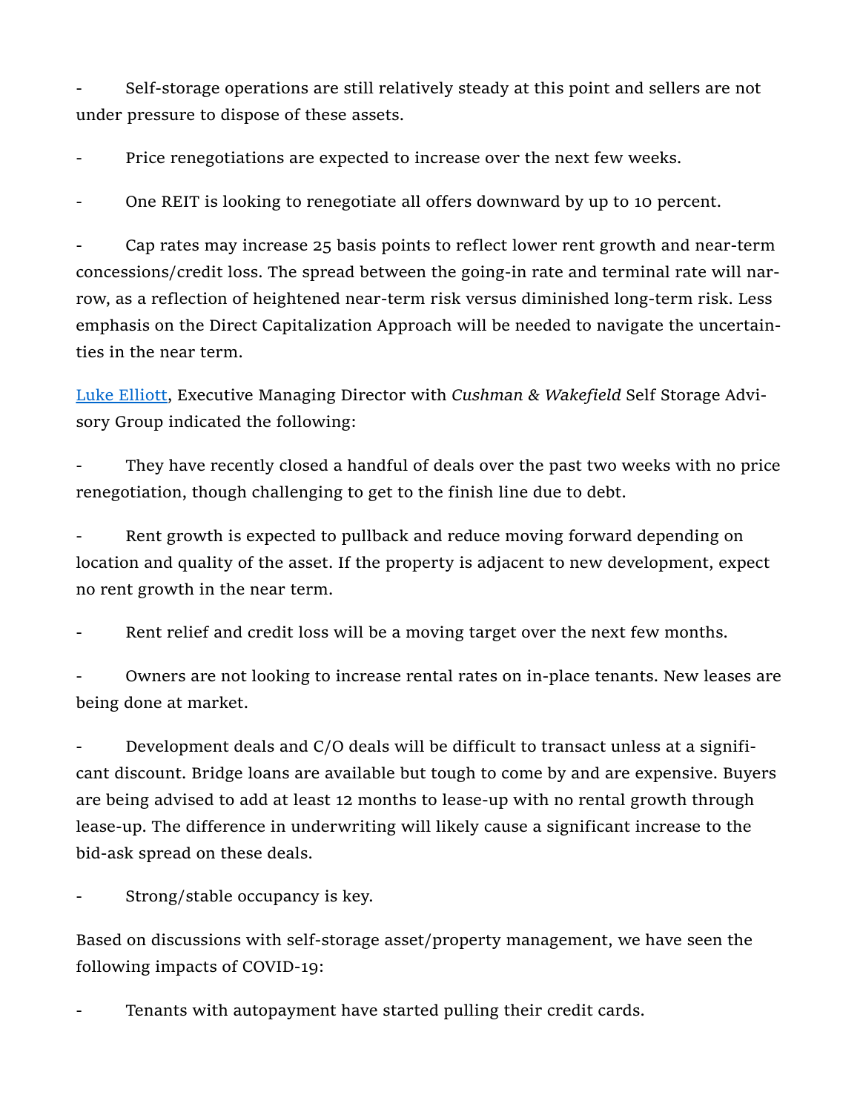Self-storage operations are still relatively steady at this point and sellers are not under pressure to dispose of these assets.

Price renegotiations are expected to increase over the next few weeks.

One REIT is looking to renegotiate all offers downward by up to 10 percent.

- Cap rates may increase 25 basis points to reflect lower rent growth and near-term concessions/credit loss. The spread between the going-in rate and terminal rate will narrow, as a reflection of heightened near-term risk versus diminished long-term risk. Less emphasis on the Direct Capitalization Approach will be needed to navigate the uncertainties in the near term.

Luke Elliott, Executive Managing Director with Cushman & Wakefield Self Storage Advisory Group indicated the following:

They have recently closed a handful of deals over the past two weeks with no price renegotiation, though challenging to get to the finish line due to debt.

Rent growth is expected to pullback and reduce moving forward depending on location and quality of the asset. If the property is adjacent to new development, expect no rent growth in the near term.

Rent relief and credit loss will be a moving target over the next few months.

Owners are not looking to increase rental rates on in-place tenants. New leases are being done at market.

Development deals and C/O deals will be difficult to transact unless at a significant discount. Bridge loans are available but tough to come by and are expensive. Buyers are being advised to add at least 12 months to lease-up with no rental growth through lease-up. The difference in underwriting will likely cause a significant increase to the bid-ask spread on these deals.

Strong/stable occupancy is key.

Based on discussions with self-storage asset/property management, we have seen the following impacts of COVID-19:

Tenants with autopayment have started pulling their credit cards.